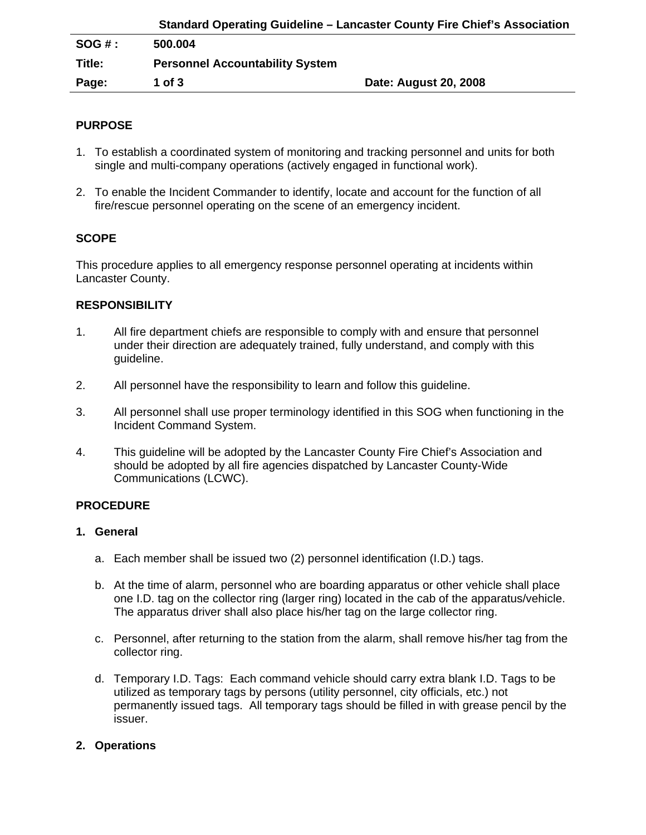|         | Standard Operating Guideline – Lancaster County Fire Chief's Association |                       |
|---------|--------------------------------------------------------------------------|-----------------------|
| SOG # : | 500.004                                                                  |                       |
| Title:  | <b>Personnel Accountability System</b>                                   |                       |
| Page:   | 1 of $3$                                                                 | Date: August 20, 2008 |

## **PURPOSE**

- 1. To establish a coordinated system of monitoring and tracking personnel and units for both single and multi-company operations (actively engaged in functional work).
- 2. To enable the Incident Commander to identify, locate and account for the function of all fire/rescue personnel operating on the scene of an emergency incident.

# **SCOPE**

This procedure applies to all emergency response personnel operating at incidents within Lancaster County.

### **RESPONSIBILITY**

- 1. All fire department chiefs are responsible to comply with and ensure that personnel under their direction are adequately trained, fully understand, and comply with this guideline.
- 2. All personnel have the responsibility to learn and follow this guideline.
- 3. All personnel shall use proper terminology identified in this SOG when functioning in the Incident Command System.
- 4. This guideline will be adopted by the Lancaster County Fire Chief's Association and should be adopted by all fire agencies dispatched by Lancaster County-Wide Communications (LCWC).

#### **PROCEDURE**

#### **1. General**

- a. Each member shall be issued two (2) personnel identification (I.D.) tags.
- b. At the time of alarm, personnel who are boarding apparatus or other vehicle shall place one I.D. tag on the collector ring (larger ring) located in the cab of the apparatus/vehicle. The apparatus driver shall also place his/her tag on the large collector ring.
- c. Personnel, after returning to the station from the alarm, shall remove his/her tag from the collector ring.
- d. Temporary I.D. Tags: Each command vehicle should carry extra blank I.D. Tags to be utilized as temporary tags by persons (utility personnel, city officials, etc.) not permanently issued tags. All temporary tags should be filled in with grease pencil by the issuer.

### **2. Operations**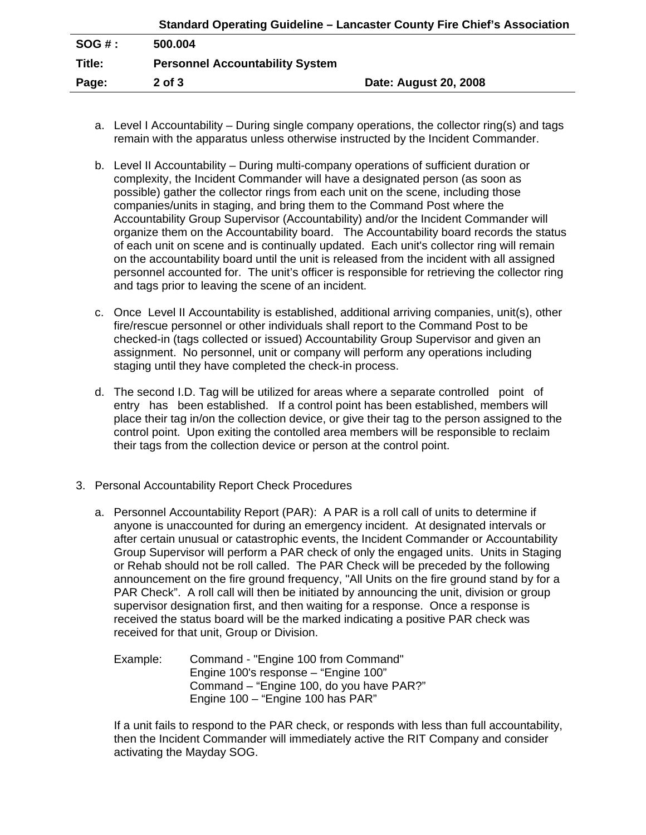|          |                                        | Standard Operating Guideline – Lancaster County Fire Chief's Association |
|----------|----------------------------------------|--------------------------------------------------------------------------|
| $SOG#$ : | 500.004                                |                                                                          |
| Title:   | <b>Personnel Accountability System</b> |                                                                          |
| Page:    | $2$ of $3$                             | Date: August 20, 2008                                                    |

- a. Level I Accountability During single company operations, the collector ring(s) and tags remain with the apparatus unless otherwise instructed by the Incident Commander.
- b. Level II Accountability During multi-company operations of sufficient duration or complexity, the Incident Commander will have a designated person (as soon as possible) gather the collector rings from each unit on the scene, including those companies/units in staging, and bring them to the Command Post where the Accountability Group Supervisor (Accountability) and/or the Incident Commander will organize them on the Accountability board. The Accountability board records the status of each unit on scene and is continually updated. Each unit's collector ring will remain on the accountability board until the unit is released from the incident with all assigned personnel accounted for. The unit's officer is responsible for retrieving the collector ring and tags prior to leaving the scene of an incident.
- c. Once Level II Accountability is established, additional arriving companies, unit(s), other fire/rescue personnel or other individuals shall report to the Command Post to be checked-in (tags collected or issued) Accountability Group Supervisor and given an assignment. No personnel, unit or company will perform any operations including staging until they have completed the check-in process.
- d. The second I.D. Tag will be utilized for areas where a separate controlled point of entry has been established. If a control point has been established, members will place their tag in/on the collection device, or give their tag to the person assigned to the control point. Upon exiting the contolled area members will be responsible to reclaim their tags from the collection device or person at the control point.
- 3. Personal Accountability Report Check Procedures
	- a. Personnel Accountability Report (PAR): A PAR is a roll call of units to determine if anyone is unaccounted for during an emergency incident. At designated intervals or after certain unusual or catastrophic events, the Incident Commander or Accountability Group Supervisor will perform a PAR check of only the engaged units. Units in Staging or Rehab should not be roll called. The PAR Check will be preceded by the following announcement on the fire ground frequency, "All Units on the fire ground stand by for a PAR Check". A roll call will then be initiated by announcing the unit, division or group supervisor designation first, and then waiting for a response. Once a response is received the status board will be the marked indicating a positive PAR check was received for that unit, Group or Division.
		- Example: Command "Engine 100 from Command" Engine 100's response – "Engine 100" Command – "Engine 100, do you have PAR?" Engine 100 – "Engine 100 has PAR"

If a unit fails to respond to the PAR check, or responds with less than full accountability, then the Incident Commander will immediately active the RIT Company and consider activating the Mayday SOG.